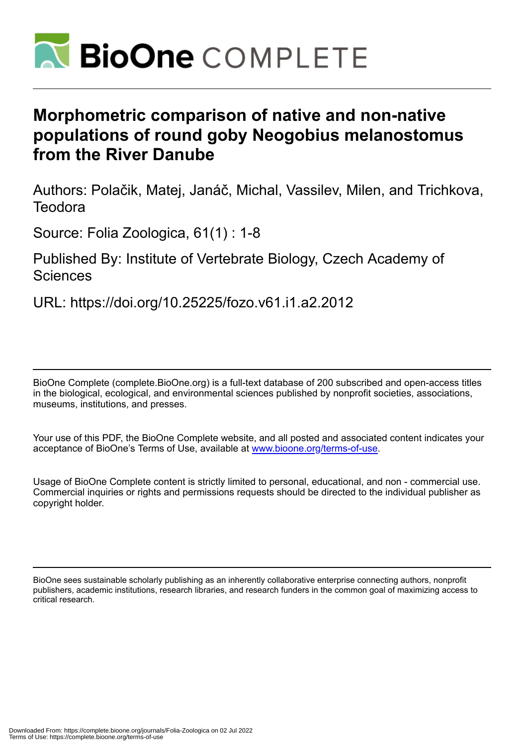

# **Morphometric comparison of native and non-native populations of round goby Neogobius melanostomus from the River Danube**

Authors: Polačik, Matej, Janáč, Michal, Vassilev, Milen, and Trichkova, **Teodora** 

Source: Folia Zoologica, 61(1) : 1-8

# Published By: Institute of Vertebrate Biology, Czech Academy of **Sciences**

URL: https://doi.org/10.25225/fozo.v61.i1.a2.2012

BioOne Complete (complete.BioOne.org) is a full-text database of 200 subscribed and open-access titles in the biological, ecological, and environmental sciences published by nonprofit societies, associations, museums, institutions, and presses.

Your use of this PDF, the BioOne Complete website, and all posted and associated content indicates your acceptance of BioOne's Terms of Use, available at www.bioone.org/terms-of-use.

Usage of BioOne Complete content is strictly limited to personal, educational, and non - commercial use. Commercial inquiries or rights and permissions requests should be directed to the individual publisher as copyright holder.

BioOne sees sustainable scholarly publishing as an inherently collaborative enterprise connecting authors, nonprofit publishers, academic institutions, research libraries, and research funders in the common goal of maximizing access to critical research.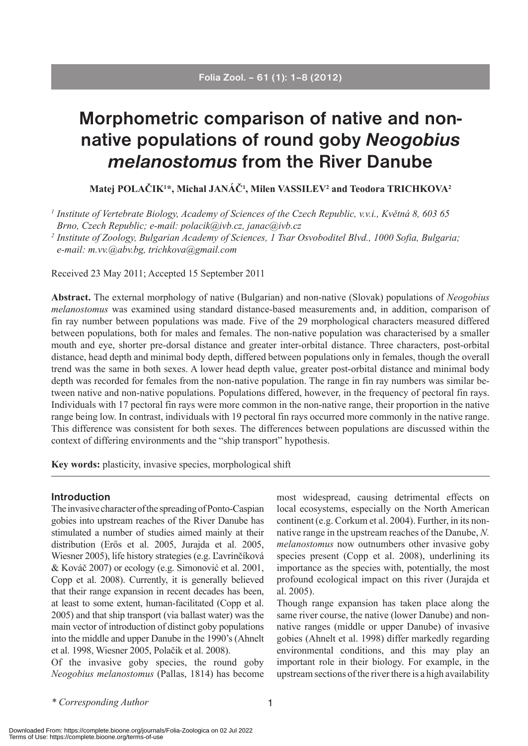# **Morphometric comparison of native and nonnative populations of round goby** *Neogobius melanostomus* **from the River Danube**

**Matej POLAČIK1 \*, Michal JANÁČ1 , Milen VASSILEV2 and Teodora TRICHKOVA2**

*1 Institute of Vertebrate Biology, Academy of Sciences of the Czech Republic, v.v.i., Květná 8, 603 65 Brno, Czech Republic; e-mail: polacik@ivb.cz, janac@ivb.cz*

*2 Institute of Zoology, Bulgarian Academy of Sciences, 1 Tsar Osvoboditel Blvd., 1000 Sofia, Bulgaria; e-mail: m.vv.@abv.bg, trichkova@gmail.com*

Received 23 May 2011; Accepted 15 September 2011

**Abstract.** The external morphology of native (Bulgarian) and non-native (Slovak) populations of *Neogobius melanostomus* was examined using standard distance-based measurements and, in addition, comparison of fin ray number between populations was made. Five of the 29 morphological characters measured differed between populations, both for males and females. The non-native population was characterised by a smaller mouth and eye, shorter pre-dorsal distance and greater inter-orbital distance. Three characters, post-orbital distance, head depth and minimal body depth, differed between populations only in females, though the overall trend was the same in both sexes. A lower head depth value, greater post-orbital distance and minimal body depth was recorded for females from the non-native population. The range in fin ray numbers was similar between native and non-native populations. Populations differed, however, in the frequency of pectoral fin rays. Individuals with 17 pectoral fin rays were more common in the non-native range, their proportion in the native range being low. In contrast, individuals with 19 pectoral fin rays occurred more commonly in the native range. This difference was consistent for both sexes. The differences between populations are discussed within the context of differing environments and the "ship transport" hypothesis.

**Key words:** plasticity, invasive species, morphological shift

#### **Introduction**

The invasive character of the spreading of Ponto-Caspian gobies into upstream reaches of the River Danube has stimulated a number of studies aimed mainly at their distribution (Erős et al. 2005, Jurajda et al. 2005, Wiesner 2005), life history strategies (e.g. Ľavrinčíková & Kováč 2007) or ecology (e.g. Simonović et al. 2001, Copp et al. 2008). Currently, it is generally believed that their range expansion in recent decades has been, at least to some extent, human-facilitated (Copp et al. 2005) and that ship transport (via ballast water) was the main vector of introduction of distinct goby populations into the middle and upper Danube in the 1990's (Ahnelt et al. 1998, Wiesner 2005, Polačik et al. 2008).

Of the invasive goby species, the round goby *Neogobius melanostomus* (Pallas, 1814) has become most widespread, causing detrimental effects on local ecosystems, especially on the North American continent (e.g. Corkum et al. 2004). Further, in its nonnative range in the upstream reaches of the Danube, *N. melanostomus* now outnumbers other invasive goby species present (Copp et al. 2008), underlining its importance as the species with, potentially, the most profound ecological impact on this river (Jurajda et al. 2005).

Though range expansion has taken place along the same river course, the native (lower Danube) and nonnative ranges (middle or upper Danube) of invasive gobies (Ahnelt et al. 1998) differ markedly regarding environmental conditions, and this may play an important role in their biology. For example, in the upstream sections of the river there is a high availability

*\* Corresponding Author*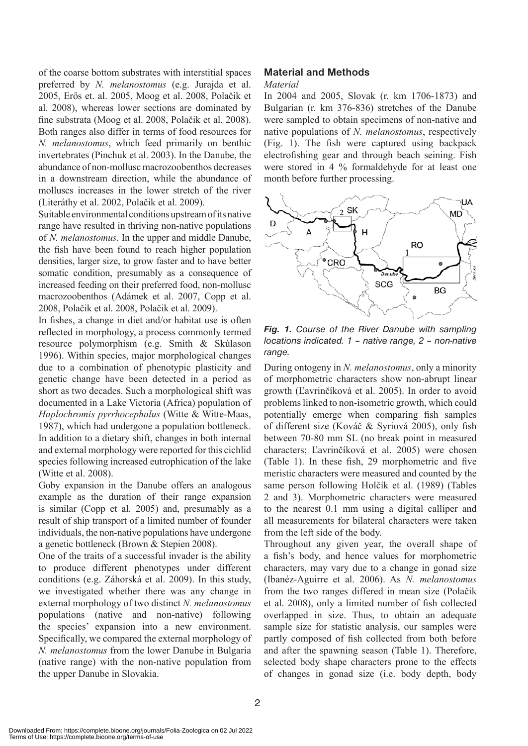of the coarse bottom substrates with interstitial spaces preferred by *N. melanostomus* (e.g. Jurajda et al. 2005, Erős et. al. 2005, Moog et al. 2008, Polačik et al. 2008), whereas lower sections are dominated by fine substrata (Moog et al. 2008, Polačik et al. 2008). Both ranges also differ in terms of food resources for *N. melanostomus*, which feed primarily on benthic invertebrates (Pinchuk et al. 2003). In the Danube, the abundance of non-mollusc macrozoobenthos decreases in a downstream direction, while the abundance of molluscs increases in the lower stretch of the river (Literáthy et al. 2002, Polačik et al. 2009).

Suitable environmental conditions upstream of its native range have resulted in thriving non-native populations of *N. melanostomus*. In the upper and middle Danube, the fish have been found to reach higher population densities, larger size, to grow faster and to have better somatic condition, presumably as a consequence of increased feeding on their preferred food, non-mollusc macrozoobenthos (Adámek et al. 2007, Copp et al. 2008, Polačik et al. 2008, Polačik et al. 2009).

In fishes, a change in diet and/or habitat use is often reflected in morphology, a process commonly termed resource polymorphism (e.g. Smith & Skúlason 1996). Within species, major morphological changes due to a combination of phenotypic plasticity and genetic change have been detected in a period as short as two decades. Such a morphological shift was documented in a Lake Victoria (Africa) population of *Haplochromis pyrrhocephalus* (Witte & Witte-Maas, 1987), which had undergone a population bottleneck. In addition to a dietary shift, changes in both internal and external morphology were reported for this cichlid species following increased eutrophication of the lake (Witte et al. 2008).

Goby expansion in the Danube offers an analogous example as the duration of their range expansion is similar (Copp et al. 2005) and, presumably as a result of ship transport of a limited number of founder individuals, the non-native populations have undergone a genetic bottleneck (Brown & Stepien 2008).

One of the traits of a successful invader is the ability to produce different phenotypes under different conditions (e.g. Záhorská et al. 2009). In this study, we investigated whether there was any change in external morphology of two distinct *N. melanostomus* populations (native and non-native) following the species' expansion into a new environment. Specifically, we compared the external morphology of *N. melanostomus* from the lower Danube in Bulgaria (native range) with the non-native population from the upper Danube in Slovakia.

# **Material and Methods**

#### *Material*

In 2004 and 2005, Slovak (r. km 1706-1873) and Bulgarian (r. km 376-836) stretches of the Danube were sampled to obtain specimens of non-native and native populations of *N. melanostomus*, respectively (Fig. 1). The fish were captured using backpack electrofishing gear and through beach seining. Fish were stored in 4 % formaldehyde for at least one month before further processing.



*Fig. 1. Course of the River Danube with sampling locations indicated. 1 – native range, 2 – non-native range.*

During ontogeny in *N. melanostomus*, only a minority of morphometric characters show non-abrupt linear growth (Ľavrinčíková et al. 2005). In order to avoid problems linked to non-isometric growth, which could potentially emerge when comparing fish samples of different size (Kováč & Syriová 2005), only fish between 70-80 mm SL (no break point in measured characters; Ľavrinčíková et al. 2005) were chosen (Table 1). In these fish, 29 morphometric and five meristic characters were measured and counted by the same person following Holčík et al. (1989) (Tables 2 and 3). Morphometric characters were measured to the nearest 0.1 mm using a digital calliper and all measurements for bilateral characters were taken from the left side of the body.

Throughout any given year, the overall shape of a fish's body, and hence values for morphometric characters, may vary due to a change in gonad size (Ibanéz-Aguirre et al. 2006). As *N. melanostomus*  from the two ranges differed in mean size (Polačik et al. 2008), only a limited number of fish collected overlapped in size. Thus, to obtain an adequate sample size for statistic analysis, our samples were partly composed of fish collected from both before and after the spawning season (Table 1). Therefore, selected body shape characters prone to the effects of changes in gonad size (i.e. body depth, body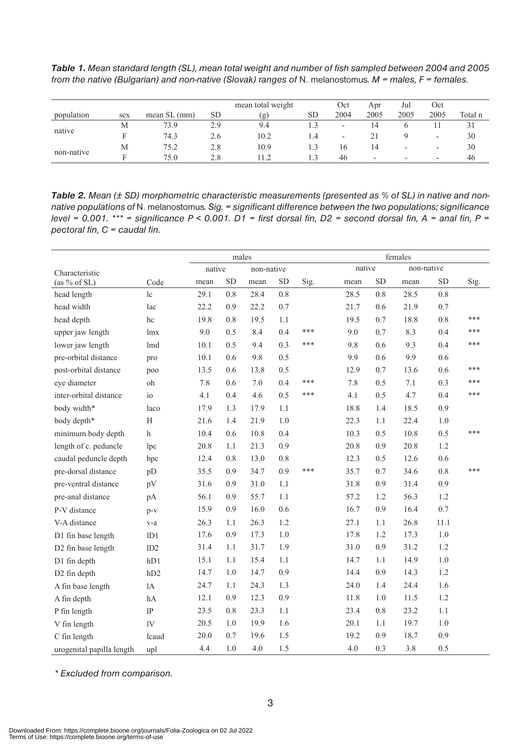*Table 1. Mean standard length (SL), mean total weight and number of fish sampled between 2004 and 2005 from the native (Bulgarian) and non-native (Slovak) ranges of* N. melanostomus*. M = males, F = females.*

|            |     |               |     | mean total weight | Oct       | Apr                      | Jul                      | Oct                      |                          |         |
|------------|-----|---------------|-----|-------------------|-----------|--------------------------|--------------------------|--------------------------|--------------------------|---------|
| population | sex | mean $SL(mm)$ | SD. | (g)               | <b>SD</b> | 2004                     | 2005                     | 2005                     | 2005                     | Total n |
|            | М   | 73.9          | 2.9 | 9.4               |           | $\overline{\phantom{a}}$ | 14                       |                          |                          |         |
| native     |     | 74.3          | 2.6 | 10.2              | 1.4       | $\overline{\phantom{0}}$ |                          |                          |                          | 30      |
|            | М   | 75.2          | 2.8 | 10.9              |           | 16                       | 14                       | $\overline{\phantom{a}}$ | -                        | 30      |
| non-native |     | 75.0          | 2.8 | .12               | 13        | 46                       | $\overline{\phantom{0}}$ | $\overline{\phantom{a}}$ | $\overline{\phantom{0}}$ | 46      |

*Table 2. Mean (± SD) morphometric characteristic measurements (presented as % of SL) in native and nonnative populations of* N. melanostomus*. Sig. = significant difference between the two populations; significance level = 0.001. \*\*\* = significance P < 0.001. D1 = first dorsal fin, D2 = second dorsal fin, A = anal fin, P = pectoral fin, C = caudal fin.* 

|                           |           | males  |           |            |           |      | females |           |            |           |      |
|---------------------------|-----------|--------|-----------|------------|-----------|------|---------|-----------|------------|-----------|------|
| Characteristic            |           | native |           | non-native |           |      | native  |           | non-native |           |      |
| (as % of SL)              | Code      | mean   | <b>SD</b> | mean       | <b>SD</b> | Sig. | mean    | <b>SD</b> | mean       | <b>SD</b> | Sig. |
| head length               | 1c        | 29.1   | 0.8       | 28.4       | 0.8       |      | 28.5    | 0.8       | 28.5       | 0.8       |      |
| head width                | lac       | 22.2   | 0.9       | 22.2       | 0.7       |      | 21.7    | 0.6       | 21.9       | 0.7       |      |
| head depth                | hc        | 19.8   | 0.8       | 19.5       | 1.1       |      | 19.5    | 0.7       | 18.8       | 0.8       | ***  |
| upper jaw length          | lmx       | 9.0    | 0.5       | 8.4        | 0.4       | ***  | 9.0     | 0.7       | 8.3        | 0.4       | ***  |
| lower jaw length          | lmd       | 10.1   | 0.5       | 9.4        | 0.3       | ***  | 9.8     | 0.6       | 9.3        | 0.4       | ***  |
| pre-orbital distance      | pro       | 10.1   | 0.6       | 9.8        | 0.5       |      | 9.9     | 0.6       | 9.9        | 0.6       |      |
| post-orbital distance     | poo       | 13.5   | 0.6       | 13.8       | 0.5       |      | 12.9    | 0.7       | 13.6       | 0.6       | ***  |
| eye diameter              | oh        | 7.8    | 0.6       | $7.0\,$    | 0.4       | ***  | 7.8     | 0.5       | 7.1        | 0.3       | ***  |
| inter-orbital distance    | $i\sigma$ | 4.1    | 0.4       | 4.6        | 0.5       | ***  | 4.1     | 0.5       | 4.7        | 0.4       | ***  |
| body width*               | laco      | 17.9   | 1.3       | 17.9       | 1.1       |      | 18.8    | 1.4       | 18.5       | 0.9       |      |
| body depth*               | H         | 21.6   | 1.4       | 21.9       | 1.0       |      | 22.3    | 1.1       | 22.4       | 1.0       |      |
| minimum body depth        | h         | 10.4   | 0.6       | 10.8       | 0.4       |      | 10.3    | 0.5       | 10.8       | 0.5       | ***  |
| length of c. peduncle     | lpc       | 20.8   | 1.1       | 21.3       | 0.9       |      | 20.8    | 0.9       | 20.8       | 1.2       |      |
| caudal peduncle depth     | hpc       | 12.4   | 0.8       | 13.0       | 0.8       |      | 12.3    | 0.5       | 12.6       | 0.6       |      |
| pre-dorsal distance       | pD        | 35.5   | 0.9       | 34.7       | 0.9       | ***  | 35.7    | 0.7       | 34.6       | 0.8       | ***  |
| pre-ventral distance      | pV        | 31.6   | 0.9       | 31.0       | 1.1       |      | 31.8    | 0.9       | 31.4       | 0.9       |      |
| pre-anal distance         | pA        | 56.1   | 0.9       | 55.7       | 1.1       |      | 57.2    | 1.2       | 56.3       | 1.2       |      |
| P-V distance              | $p-v$     | 15.9   | 0.9       | 16.0       | 0.6       |      | 16.7    | 0.9       | 16.4       | 0.7       |      |
| V-A distance              | $v-a$     | 26.3   | 1.1       | 26.3       | 1.2       |      | 27.1    | 1.1       | 26.8       | 11.1      |      |
| D1 fin base length        | 1D1       | 17.6   | 0.9       | 17.3       | 1.0       |      | 17.8    | 1.2       | 17.3       | $1.0$     |      |
| D2 fin base length        | 1D2       | 31.4   | 1.1       | 31.7       | 1.9       |      | 31.0    | 0.9       | 31.2       | 1.2       |      |
| D1 fin depth              | hD1       | 15.1   | 1.1       | 15.4       | 1.1       |      | 14.7    | 1.1       | 14.9       | 1.0       |      |
| D2 fin depth              | hD2       | 14.7   | 1.0       | 14.7       | 0.9       |      | 14.4    | 0.9       | 14.3       | 1.2       |      |
| A fin base length         | 1A        | 24.7   | 1.1       | 24.3       | 1.3       |      | 24.0    | 1.4       | 24.4       | 1.6       |      |
| A fin depth               | hA        | 12.1   | 0.9       | 12.3       | 0.9       |      | 11.8    | 1.0       | 11.5       | 1.2       |      |
| P fin length              | 1P        | 23.5   | 0.8       | 23.3       | 1.1       |      | 23.4    | 0.8       | 23.2       | 1.1       |      |
| V fin length              | 1V        | 20.5   | 1.0       | 19.9       | 1.6       |      | 20.1    | 1.1       | 19.7       | 1.0       |      |
| C fin length              | lcaud     | 20.0   | 0.7       | 19.6       | 1.5       |      | 19.2    | 0.9       | 18.7       | 0.9       |      |
| urogenital papilla length | upl       | 4.4    | 1.0       | 4.0        | 1.5       |      | 4.0     | 0.3       | 3.8        | 0.5       |      |

*\* Excluded from comparison.*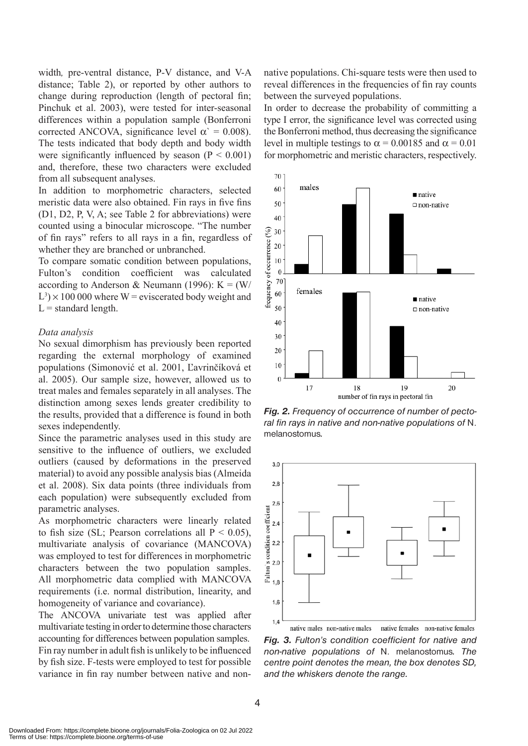width*,* pre-ventral distance, P-V distance, and V-A distance; Table 2), or reported by other authors to change during reproduction (length of pectoral fin; Pinchuk et al. 2003), were tested for inter-seasonal differences within a population sample (Bonferroni corrected ANCOVA, significance level  $\alpha$ <sup>'</sup> = 0.008). The tests indicated that body depth and body width were significantly influenced by season  $(P < 0.001)$ and, therefore, these two characters were excluded from all subsequent analyses.

In addition to morphometric characters, selected meristic data were also obtained. Fin rays in five fins (D1, D2, P, V, A; see Table 2 for abbreviations) were counted using a binocular microscope. "The number of fin rays" refers to all rays in a fin, regardless of whether they are branched or unbranched.

To compare somatic condition between populations, Fulton's condition coefficient was calculated according to Anderson & Neumann (1996):  $K = (W/$  $L^3$  × 100 000 where W = eviscerated body weight and  $L =$  standard length.

#### *Data analysis*

No sexual dimorphism has previously been reported regarding the external morphology of examined populations (Simonović et al. 2001, Ľavrinčíková et al. 2005). Our sample size, however, allowed us to treat males and females separately in all analyses. The distinction among sexes lends greater credibility to the results, provided that a difference is found in both sexes independently.

Since the parametric analyses used in this study are sensitive to the influence of outliers, we excluded outliers (caused by deformations in the preserved material) to avoid any possible analysis bias (Almeida et al. 2008). Six data points (three individuals from each population) were subsequently excluded from parametric analyses.

As morphometric characters were linearly related to fish size (SL; Pearson correlations all  $P < 0.05$ ), multivariate analysis of covariance (MANCOVA) was employed to test for differences in morphometric characters between the two population samples. All morphometric data complied with MANCOVA requirements (i.e. normal distribution, linearity, and homogeneity of variance and covariance).

The ANCOVA univariate test was applied after multivariate testing in order to determine those characters accounting for differences between population samples. Fin ray number in adult fish is unlikely to be influenced by fish size. F-tests were employed to test for possible variance in fin ray number between native and nonnative populations. Chi-square tests were then used to reveal differences in the frequencies of fin ray counts between the surveyed populations.

In order to decrease the probability of committing a type I error, the significance level was corrected using the Bonferroni method, thus decreasing the significance level in multiple testings to  $\alpha = 0.00185$  and  $\alpha = 0.01$ for morphometric and meristic characters, respectively.



*Fig. 2. Frequency of occurrence of number of pectoral fin rays in native and non-native populations of* N. melanostomus*.* 



native females non-native females native males non-native males *Fig. 3. Fulton's condition coefficient for native and non-native populations of* N. melanostomus*. The centre point denotes the mean, the box denotes SD, and the whiskers denote the range.*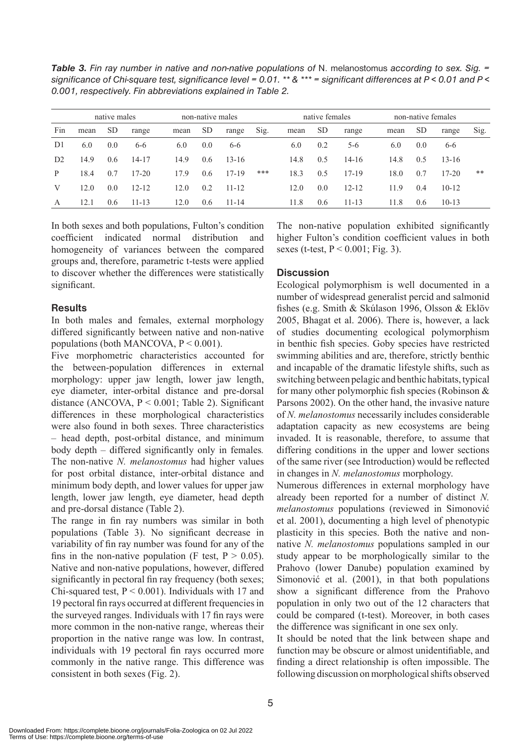*Table 3. Fin ray number in native and non-native populations of* N. melanostomus *according to sex. Sig. = significance of Chi-square test, significance level = 0.01. \*\* & \*\*\* = significant differences at P < 0.01 and P < 0.001, respectively. Fin abbreviations explained in Table 2.*

|                | native males |           |           | non-native males |           |           |      |      | native females |           |      | non-native females |           |      |
|----------------|--------------|-----------|-----------|------------------|-----------|-----------|------|------|----------------|-----------|------|--------------------|-----------|------|
| Fin            | mean         | <b>SD</b> | range     | mean             | <b>SD</b> | range     | Sig. | mean | <b>SD</b>      | range     | mean | <sub>SD</sub>      | range     | Sig. |
| D <sub>1</sub> | 6.0          | 0.0       | $6 - 6$   | 6.0              | 0.0       | $6 - 6$   |      | 6.0  | 0.2            | $5-6$     | 6.0  | 0.0                | $6 - 6$   |      |
| D <sub>2</sub> | 14.9         | 0.6       | $14 - 17$ | 14.9             | 0.6       | $13 - 16$ |      | 14.8 | 0.5            | $14 - 16$ | 14.8 | 0.5                | $13 - 16$ |      |
| P              | 18.4         | 0.7       | $17 - 20$ | 17.9             | 0.6       | $17 - 19$ | ***  | 18.3 | 0.5            | 17-19     | 18.0 | 0.7                | $17 - 20$ | **   |
| V              | 12.0         | 0.0       | $12 - 12$ | 12.0             | 0.2       | $11 - 12$ |      | 12.0 | 0.0            | $12 - 12$ | 11.9 | 0.4                | $10-12$   |      |
| A              | 12.1         | 0.6       | $11 - 13$ | 12.0             | 0.6       | $11 - 14$ |      | 11.8 | 0.6            | $11 - 13$ | 11.8 | 0.6                | $10-13$   |      |

In both sexes and both populations, Fulton's condition coefficient indicated normal distribution and homogeneity of variances between the compared groups and, therefore, parametric t-tests were applied to discover whether the differences were statistically significant.

### **Results**

In both males and females, external morphology differed significantly between native and non-native populations (both MANCOVA,  $P < 0.001$ ).

Five morphometric characteristics accounted for the between-population differences in external morphology: upper jaw length, lower jaw length, eye diameter, inter-orbital distance and pre-dorsal distance (ANCOVA,  $P < 0.001$ ; Table 2). Significant differences in these morphological characteristics were also found in both sexes. Three characteristics – head depth, post-orbital distance, and minimum body depth *–* differed significantly only in females*.* The non-native *N. melanostomus* had higher values for post orbital distance, inter-orbital distance and minimum body depth, and lower values for upper jaw length, lower jaw length, eye diameter, head depth and pre-dorsal distance (Table 2).

The range in fin ray numbers was similar in both populations (Table 3). No significant decrease in variability of fin ray number was found for any of the fins in the non-native population (F test,  $P > 0.05$ ). Native and non-native populations, however, differed significantly in pectoral fin ray frequency (both sexes; Chi-squared test,  $P \le 0.001$ ). Individuals with 17 and 19 pectoral fin rays occurred at different frequencies in the surveyed ranges. Individuals with 17 fin rays were more common in the non-native range, whereas their proportion in the native range was low. In contrast, individuals with 19 pectoral fin rays occurred more commonly in the native range. This difference was consistent in both sexes (Fig. 2).

The non-native population exhibited significantly higher Fulton's condition coefficient values in both sexes (t-test,  $P < 0.001$ ; Fig. 3).

# **Discussion**

Ecological polymorphism is well documented in a number of widespread generalist percid and salmonid fishes (e.g. Smith & Skúlason 1996, Olsson & Eklöv 2005, Bhagat et al. 2006). There is, however, a lack of studies documenting ecological polymorphism in benthic fish species. Goby species have restricted swimming abilities and are, therefore, strictly benthic and incapable of the dramatic lifestyle shifts, such as switching between pelagic and benthic habitats, typical for many other polymorphic fish species (Robinson & Parsons 2002). On the other hand, the invasive nature of *N. melanostomus* necessarily includes considerable adaptation capacity as new ecosystems are being invaded. It is reasonable, therefore, to assume that differing conditions in the upper and lower sections of the same river (see Introduction) would be reflected in changes in *N. melanostomus* morphology.

Numerous differences in external morphology have already been reported for a number of distinct *N. melanostomus* populations (reviewed in Simonović et al. 2001), documenting a high level of phenotypic plasticity in this species. Both the native and nonnative *N. melanostomus* populations sampled in our study appear to be morphologically similar to the Prahovo (lower Danube) population examined by Simonović et al. (2001), in that both populations show a significant difference from the Prahovo population in only two out of the 12 characters that could be compared (t-test). Moreover, in both cases the difference was significant in one sex only.

It should be noted that the link between shape and function may be obscure or almost unidentifiable, and finding a direct relationship is often impossible. The following discussion on morphological shifts observed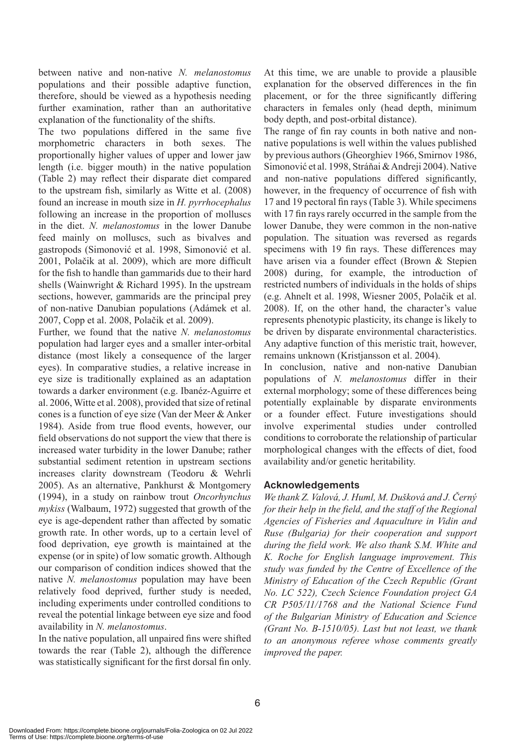between native and non-native *N. melanostomus*  populations and their possible adaptive function, therefore, should be viewed as a hypothesis needing further examination, rather than an authoritative explanation of the functionality of the shifts.

The two populations differed in the same five morphometric characters in both sexes. The proportionally higher values of upper and lower jaw length (i.e. bigger mouth) in the native population (Table 2) may reflect their disparate diet compared to the upstream fish, similarly as Witte et al. (2008) found an increase in mouth size in *H. pyrrhocephalus* following an increase in the proportion of molluscs in the diet. *N. melanostomus* in the lower Danube feed mainly on molluscs, such as bivalves and gastropods (Simonović et al. 1998, Simonović et al. 2001, Polačik at al. 2009), which are more difficult for the fish to handle than gammarids due to their hard shells (Wainwright & Richard 1995). In the upstream sections, however, gammarids are the principal prey of non-native Danubian populations (Adámek et al. 2007, Copp et al. 2008, Polačik et al. 2009).

Further, we found that the native *N. melanostomus*  population had larger eyes and a smaller inter-orbital distance (most likely a consequence of the larger eyes). In comparative studies, a relative increase in eye size is traditionally explained as an adaptation towards a darker environment (e.g. Ibanéz-Aguirre et al. 2006, Witte et al. 2008), provided that size of retinal cones is a function of eye size (Van der Meer & Anker 1984). Aside from true flood events, however, our field observations do not support the view that there is increased water turbidity in the lower Danube; rather substantial sediment retention in upstream sections increases clarity downstream (Teodoru & Wehrli 2005). As an alternative, Pankhurst & Montgomery (1994), in a study on rainbow trout *Oncorhynchus mykiss* (Walbaum, 1972) suggested that growth of the eye is age-dependent rather than affected by somatic growth rate. In other words, up to a certain level of food deprivation, eye growth is maintained at the expense (or in spite) of low somatic growth. Although our comparison of condition indices showed that the native *N. melanostomus* population may have been relatively food deprived, further study is needed, including experiments under controlled conditions to reveal the potential linkage between eye size and food availability in *N. melanostomus*.

In the native population, all unpaired fins were shifted towards the rear (Table 2), although the difference was statistically significant for the first dorsal fin only.

At this time, we are unable to provide a plausible explanation for the observed differences in the fin placement, or for the three significantly differing characters in females only (head depth, minimum body depth, and post-orbital distance).

The range of fin ray counts in both native and nonnative populations is well within the values published by previous authors (Gheorghiev 1966, Smirnov 1986, Simonović et al. 1998, Stráňai & Andreji 2004). Native and non-native populations differed significantly, however, in the frequency of occurrence of fish with 17 and 19 pectoral fin rays (Table 3). While specimens with 17 fin rays rarely occurred in the sample from the lower Danube, they were common in the non-native population. The situation was reversed as regards specimens with 19 fin rays. These differences may have arisen via a founder effect (Brown & Stepien 2008) during, for example, the introduction of restricted numbers of individuals in the holds of ships (e.g. Ahnelt et al. 1998, Wiesner 2005, Polačik et al. 2008). If, on the other hand, the character's value represents phenotypic plasticity, its change is likely to be driven by disparate environmental characteristics. Any adaptive function of this meristic trait, however, remains unknown (Kristjansson et al. 2004).

In conclusion, native and non-native Danubian populations of *N. melanostomus* differ in their external morphology; some of these differences being potentially explainable by disparate environments or a founder effect. Future investigations should involve experimental studies under controlled conditions to corroborate the relationship of particular morphological changes with the effects of diet, food availability and/or genetic heritability.

# **Acknowledgements**

*We thank Z. Valová, J. Huml, M. Dušková and J. Černý for their help in the field, and the staff of the Regional Agencies of Fisheries and Aquaculture in Vidin and Ruse (Bulgaria) for their cooperation and support during the field work. We also thank S.M. White and K. Roche for English language improvement. This study was funded by the Centre of Excellence of the Ministry of Education of the Czech Republic (Grant No. LC 522), Czech Science Foundation project GA CR P505/11/1768 and the National Science Fund of the Bulgarian Ministry of Education and Science (Grant No. B-1510/05). Last but not least, we thank to an anonymous referee whose comments greatly improved the paper.*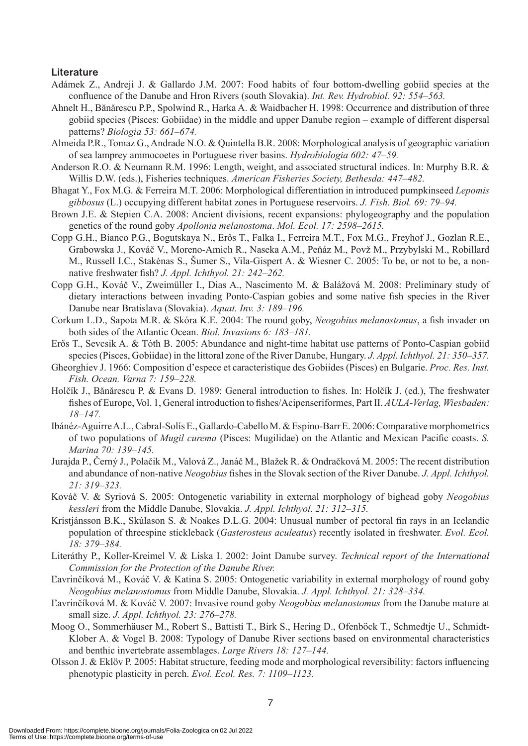### **Literature**

- Adámek Z., Andreji J. & Gallardo J.M. 2007: Food habits of four bottom-dwelling gobiid species at the confluence of the Danube and Hron Rivers (south Slovakia). *Int. Rev. Hydrobiol. 92: 554–563.*
- Ahnelt H., Bănărescu P.P., Spolwind R., Harka A. & Waidbacher H. 1998: Occurrence and distribution of three gobiid species (Pisces: Gobiidae) in the middle and upper Danube region – example of different dispersal patterns? *Biologia 53: 661–674.*
- Almeida P.R., Tomaz G., Andrade N.O. & Quintella B.R. 2008: Morphological analysis of geographic variation of sea lamprey ammocoetes in Portuguese river basins. *Hydrobiologia 602: 47–59.*
- Anderson R.O. & Neumann R.M. 1996: Length, weight, and associated structural indices. In: Murphy B.R. & Willis D.W. (eds.), Fisheries techniques. *American Fisheries Society, Bethesda: 447–482.*
- Bhagat Y., Fox M.G. & Ferreira M.T. 2006: Morphological differentiation in introduced pumpkinseed *Lepomis gibbosus* (L.) occupying different habitat zones in Portuguese reservoirs. *J. Fish. Biol. 69: 79–94.*
- Brown J.E. & Stepien C.A. 2008: Ancient divisions, recent expansions: phylogeography and the population genetics of the round goby *Apollonia melanostoma*. *Mol. Ecol. 17: 2598–2615.*
- Copp G.H., Bianco P.G., Bogutskaya N., Erős T., Falka I., Ferreira M.T., Fox M.G., Freyhof J., Gozlan R.E., Grabowska J., Kováč V., Moreno-Amich R., Naseka A.M., Peňáz M., Povž M., Przybylski M., Robillard M., Russell I.C., Stakėnas S., Šumer S., Vila-Gispert A. & Wiesner C. 2005: To be, or not to be, a nonnative freshwater fish? *J. Appl. Ichthyol. 21: 242–262.*
- Copp G.H., Kováč V., Zweimüller I., Dias A., Nascimento M. & Balážová M. 2008: Preliminary study of dietary interactions between invading Ponto-Caspian gobies and some native fish species in the River Danube near Bratislava (Slovakia). *Aquat. Inv. 3: 189–196.*
- Corkum L.D., Sapota M.R. & Skóra K.E. 2004: The round goby, *Neogobius melanostomus*, a fish invader on both sides of the Atlantic Ocean. *Biol. Invasions 6: 183–181.*
- Erős T., Sevcsik A. & Tóth B. 2005: Abundance and night-time habitat use patterns of Ponto-Caspian gobiid species (Pisces, Gobiidae) in the littoral zone of the River Danube, Hungary. *J. Appl. Ichthyol. 21: 350–357.*
- Gheorghiev J. 1966: Composition d'espece et caracteristique des Gobiides (Pisces) en Bulgarie. *Proc. Res. Inst. Fish. Ocean. Varna 7: 159–228.*
- Holčík J., Bǎnǎrescu P. & Evans D. 1989: General introduction to fishes. In: Holčík J. (ed.), The freshwater fishes of Europe, Vol. 1, General introduction to fishes/Acipenseriformes, Part II. *AULA-Verlag, Wiesbaden: 18–147.*
- Ibánéz-Aguirre A.L., Cabral-Solís E., Gallardo-Cabello M. & Espino-Barr E. 2006: Comparative morphometrics of two populations of *Mugil curema* (Pisces: Mugilidae) on the Atlantic and Mexican Pacific coasts. *S. Marina 70: 139–145.*
- Jurajda P., Černý J., Polačik M., Valová Z., Janáč M., Blažek R. & Ondračková M. 2005: The recent distribution and abundance of non-native *Neogobius* fishes in the Slovak section of the River Danube. *J. Appl. Ichthyol. 21: 319–323.*
- Kováč V. & Syriová S. 2005: Ontogenetic variability in external morphology of bighead goby *Neogobius kessleri* from the Middle Danube, Slovakia. *J. Appl. Ichthyol. 21: 312–315.*
- Kristjánsson B.K., Skúlason S. & Noakes D.L.G. 2004: Unusual number of pectoral fin rays in an Icelandic population of threespine stickleback (*Gasterosteus aculeatus*) recently isolated in freshwater. *Evol. Ecol. 18: 379–384.*
- Literáthy P., Koller-Kreimel V. & Liska I. 2002: Joint Danube survey. *Technical report of the International Commission for the Protection of the Danube River.*
- Ľavrinčíková M., Kováč V. & Katina S. 2005: Ontogenetic variability in external morphology of round goby *Neogobius melanostomus* from Middle Danube, Slovakia. *J. Appl. Ichthyol. 21: 328–334.*
- Ľavrinčíková M. & Kováč V. 2007: Invasive round goby *Neogobius melanostomus* from the Danube mature at small size. *J. Appl. Ichthyol. 23: 276–278.*
- Moog O., Sommerhäuser M., Robert S., Battisti T., Birk S., Hering D., Ofenböck T., Schmedtje U., Schmidt-Klober A. & Vogel B. 2008: Typology of Danube River sections based on environmental characteristics and benthic invertebrate assemblages. *Large Rivers 18: 127–144.*
- Olsson J. & Eklöv P. 2005: Habitat structure, feeding mode and morphological reversibility: factors influencing phenotypic plasticity in perch. *Evol. Ecol. Res. 7: 1109–1123.*